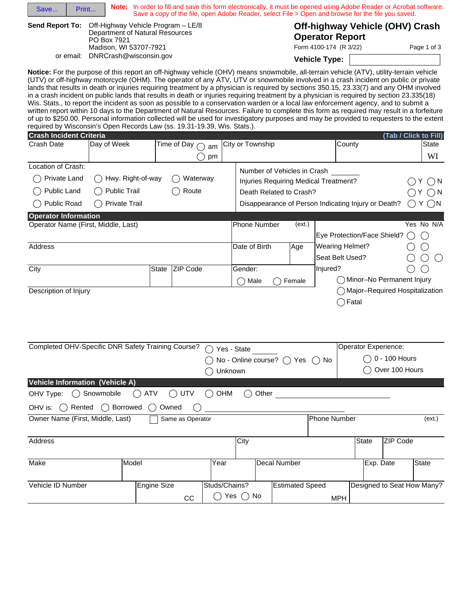|                                                                                                                                                                                                                                                                                                                                                                                                                                                                                                                                                                                                                                                                                                                                                                                                                                                                                                                                                                                                                                                                                                                           |                                                                                      |                                  |                                                                                                 |                                                           | Note: In order to fill and save this form electronically, it must be opened using Adobe Reader or Acrobat software.<br>Save a copy of the file, open Adobe Reader, select File > Open and browse for the file you saved. |                                                                              |  |  |
|---------------------------------------------------------------------------------------------------------------------------------------------------------------------------------------------------------------------------------------------------------------------------------------------------------------------------------------------------------------------------------------------------------------------------------------------------------------------------------------------------------------------------------------------------------------------------------------------------------------------------------------------------------------------------------------------------------------------------------------------------------------------------------------------------------------------------------------------------------------------------------------------------------------------------------------------------------------------------------------------------------------------------------------------------------------------------------------------------------------------------|--------------------------------------------------------------------------------------|----------------------------------|-------------------------------------------------------------------------------------------------|-----------------------------------------------------------|--------------------------------------------------------------------------------------------------------------------------------------------------------------------------------------------------------------------------|------------------------------------------------------------------------------|--|--|
| <b>Send Report To:</b>                                                                                                                                                                                                                                                                                                                                                                                                                                                                                                                                                                                                                                                                                                                                                                                                                                                                                                                                                                                                                                                                                                    | Off-Highway Vehicle Program - LE/8<br>Department of Natural Resources<br>PO Box 7921 |                                  |                                                                                                 | Off-highway Vehicle (OHV) Crash<br><b>Operator Report</b> |                                                                                                                                                                                                                          |                                                                              |  |  |
|                                                                                                                                                                                                                                                                                                                                                                                                                                                                                                                                                                                                                                                                                                                                                                                                                                                                                                                                                                                                                                                                                                                           | Madison, WI 53707-7921                                                               |                                  |                                                                                                 |                                                           | Form 4100-174 (R 3/22)                                                                                                                                                                                                   | Page 1 of 3                                                                  |  |  |
| or email:                                                                                                                                                                                                                                                                                                                                                                                                                                                                                                                                                                                                                                                                                                                                                                                                                                                                                                                                                                                                                                                                                                                 | DNRCrash@wisconsin.gov                                                               |                                  |                                                                                                 |                                                           | <b>Vehicle Type:</b>                                                                                                                                                                                                     | ▼∣                                                                           |  |  |
| Notice: For the purpose of this report an off-highway vehicle (OHV) means snowmobile, all-terrain vehicle (ATV), utility-terrain vehicle<br>(UTV) or off-highway motorcycle (OHM). The operator of any ATV, UTV or snowmobile involved in a crash incident on public or private<br>lands that results in death or injuries requiring treatment by a physician is required by sections 350.15, 23.33(7) and any OHM involved<br>in a crash incident on public lands that results in death or injuries requiring treatment by a physician is required by section 23.335(18)<br>Wis. Stats., to report the incident as soon as possible to a conservation warden or a local law enforcement agency, and to submit a<br>written report within 10 days to the Department of Natural Resources. Failure to complete this form as required may result in a forfeiture<br>of up to \$250.00. Personal information collected will be used for investigatory purposes and may be provided to requesters to the extent<br>required by Wisconsin's Open Records Law (ss. 19.31-19.39, Wis. Stats.).<br><b>Crash Incident Criteria</b> |                                                                                      |                                  |                                                                                                 |                                                           |                                                                                                                                                                                                                          | (Tab / Click to Fill)                                                        |  |  |
| Crash Date                                                                                                                                                                                                                                                                                                                                                                                                                                                                                                                                                                                                                                                                                                                                                                                                                                                                                                                                                                                                                                                                                                                | Day of Week                                                                          | Time of Day $\bigcap$ am         | City or Township                                                                                |                                                           | County                                                                                                                                                                                                                   | State Ada                                                                    |  |  |
|                                                                                                                                                                                                                                                                                                                                                                                                                                                                                                                                                                                                                                                                                                                                                                                                                                                                                                                                                                                                                                                                                                                           | $\blacktriangledown$                                                                 | pm                               |                                                                                                 |                                                           |                                                                                                                                                                                                                          | ms,<br>$\overline{\phantom{a}}$<br>WI                                        |  |  |
| Location of Crash:<br>Private Land<br>Public Land<br>Public Road                                                                                                                                                                                                                                                                                                                                                                                                                                                                                                                                                                                                                                                                                                                                                                                                                                                                                                                                                                                                                                                          | Hwy. Right-of-way<br><b>Public Trail</b><br><b>Private Trail</b>                     | Waterway<br>Route                | Number of Vehicles in Crash<br>Injuries Requiring Medical Treatment?<br>Death Related to Crash? |                                                           | Disappearance of Person Indicating Injury or Death?                                                                                                                                                                      | $\bigcirc$ N<br>Y.<br>$\bigcirc$ y $\bigcirc$ n<br>$\bigcirc$ Y $\bigcirc$ N |  |  |
| <b>Operator Information</b>                                                                                                                                                                                                                                                                                                                                                                                                                                                                                                                                                                                                                                                                                                                                                                                                                                                                                                                                                                                                                                                                                               |                                                                                      |                                  |                                                                                                 |                                                           |                                                                                                                                                                                                                          |                                                                              |  |  |
| Operator Name (First, Middle, Last)                                                                                                                                                                                                                                                                                                                                                                                                                                                                                                                                                                                                                                                                                                                                                                                                                                                                                                                                                                                                                                                                                       |                                                                                      |                                  | Phone Number                                                                                    | (ext.)                                                    |                                                                                                                                                                                                                          | Yes No N/A                                                                   |  |  |
| Address                                                                                                                                                                                                                                                                                                                                                                                                                                                                                                                                                                                                                                                                                                                                                                                                                                                                                                                                                                                                                                                                                                                   |                                                                                      |                                  | Date of Birth                                                                                   | Age                                                       | Eye Protection/Face Shield?<br><b>Wearing Helmet?</b>                                                                                                                                                                    |                                                                              |  |  |
|                                                                                                                                                                                                                                                                                                                                                                                                                                                                                                                                                                                                                                                                                                                                                                                                                                                                                                                                                                                                                                                                                                                           |                                                                                      |                                  |                                                                                                 |                                                           | Seat Belt Used?                                                                                                                                                                                                          | $(\ )$                                                                       |  |  |
| City                                                                                                                                                                                                                                                                                                                                                                                                                                                                                                                                                                                                                                                                                                                                                                                                                                                                                                                                                                                                                                                                                                                      | State                                                                                | ZIP Code                         | Gender:                                                                                         |                                                           | Injured?                                                                                                                                                                                                                 |                                                                              |  |  |
|                                                                                                                                                                                                                                                                                                                                                                                                                                                                                                                                                                                                                                                                                                                                                                                                                                                                                                                                                                                                                                                                                                                           |                                                                                      |                                  | Male                                                                                            | Female                                                    |                                                                                                                                                                                                                          | Minor-No Permanent Injury                                                    |  |  |
| Description of Injury                                                                                                                                                                                                                                                                                                                                                                                                                                                                                                                                                                                                                                                                                                                                                                                                                                                                                                                                                                                                                                                                                                     |                                                                                      |                                  |                                                                                                 |                                                           | Fatal<br>$( \ )$                                                                                                                                                                                                         | Major-Required Hospitalization                                               |  |  |
| Completed OHV-Specific DNR Safety Training Course?  O Yes - State                                                                                                                                                                                                                                                                                                                                                                                                                                                                                                                                                                                                                                                                                                                                                                                                                                                                                                                                                                                                                                                         |                                                                                      |                                  |                                                                                                 |                                                           | Operator Experience:                                                                                                                                                                                                     |                                                                              |  |  |
|                                                                                                                                                                                                                                                                                                                                                                                                                                                                                                                                                                                                                                                                                                                                                                                                                                                                                                                                                                                                                                                                                                                           |                                                                                      | $\bigcirc$ Unknown               | $\bigcap$ No - Online course? $\bigcap$ Yes $\bigcap$ No                                        |                                                           |                                                                                                                                                                                                                          | $\bigcirc$ 0 - 100 Hours<br>Over 100 Hours                                   |  |  |
| Vehicle Information (Vehicle A)                                                                                                                                                                                                                                                                                                                                                                                                                                                                                                                                                                                                                                                                                                                                                                                                                                                                                                                                                                                                                                                                                           |                                                                                      |                                  |                                                                                                 |                                                           |                                                                                                                                                                                                                          |                                                                              |  |  |
| OHV Type: ◯ Snowmobile                                                                                                                                                                                                                                                                                                                                                                                                                                                                                                                                                                                                                                                                                                                                                                                                                                                                                                                                                                                                                                                                                                    | $\bigcap$ ATV                                                                        | $\bigcirc$ UTV<br>$\bigcirc$ OHM | $\bigcirc$ Other                                                                                |                                                           |                                                                                                                                                                                                                          |                                                                              |  |  |
| OHV is: $\bigcap$ Rented $\bigcap$ Borrowed $\bigcap$                                                                                                                                                                                                                                                                                                                                                                                                                                                                                                                                                                                                                                                                                                                                                                                                                                                                                                                                                                                                                                                                     |                                                                                      | Owned                            |                                                                                                 |                                                           |                                                                                                                                                                                                                          |                                                                              |  |  |
|                                                                                                                                                                                                                                                                                                                                                                                                                                                                                                                                                                                                                                                                                                                                                                                                                                                                                                                                                                                                                                                                                                                           |                                                                                      | Same as Operator                 |                                                                                                 |                                                           | <b>Phone Number</b>                                                                                                                                                                                                      | (ext.)                                                                       |  |  |
|                                                                                                                                                                                                                                                                                                                                                                                                                                                                                                                                                                                                                                                                                                                                                                                                                                                                                                                                                                                                                                                                                                                           |                                                                                      |                                  |                                                                                                 |                                                           |                                                                                                                                                                                                                          |                                                                              |  |  |
|                                                                                                                                                                                                                                                                                                                                                                                                                                                                                                                                                                                                                                                                                                                                                                                                                                                                                                                                                                                                                                                                                                                           |                                                                                      |                                  | City                                                                                            |                                                           | <b>State</b>                                                                                                                                                                                                             | ZIP Code                                                                     |  |  |
| Owner Name (First, Middle, Last)<br>Address<br>Make                                                                                                                                                                                                                                                                                                                                                                                                                                                                                                                                                                                                                                                                                                                                                                                                                                                                                                                                                                                                                                                                       | Model                                                                                | Year                             | Decal Number                                                                                    |                                                           |                                                                                                                                                                                                                          | State<br>Exp. Date                                                           |  |  |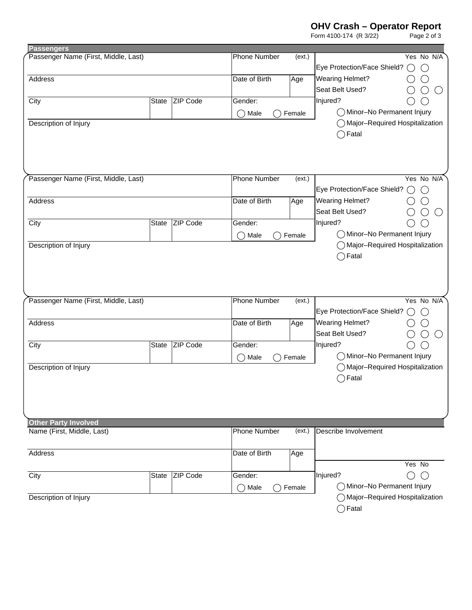**OHV Crash – Operator Report**

|                                      |              |          |                     |        | Form 4100-174 (R 3/22)           | Page 2 of 3    |
|--------------------------------------|--------------|----------|---------------------|--------|----------------------------------|----------------|
| <b>Passengers</b>                    |              |          |                     |        |                                  |                |
| Passenger Name (First, Middle, Last) |              |          | <b>Phone Number</b> | (ext.) |                                  | Yes No N/A     |
|                                      |              |          |                     |        | Eye Protection/Face Shield?      | $($ )<br>$($ ) |
| Address                              |              |          | Date of Birth       | Age    | <b>Wearing Helmet?</b>           |                |
|                                      |              |          |                     |        | Seat Belt Used?                  | $( \ )$        |
| City                                 | State        | ZIP Code | Gender:             |        | Injured?                         |                |
|                                      |              |          | Male<br>$($ )       | Female | ◯ Minor-No Permanent Injury      |                |
| Description of Injury                |              |          |                     |        | ◯ Major-Required Hospitalization |                |
|                                      |              |          |                     |        | $\bigcirc$ Fatal                 |                |
|                                      |              |          |                     |        |                                  |                |
|                                      |              |          |                     |        |                                  |                |
| Passenger Name (First, Middle, Last) |              |          | Phone Number        | (ext.) |                                  | Yes No N/A     |
|                                      |              |          |                     |        | Eye Protection/Face Shield?      | $($ )<br>(     |
| Address                              |              |          | Date of Birth       | Age    | <b>Wearing Helmet?</b>           |                |
|                                      |              |          |                     |        | Seat Belt Used?                  | ( )            |
| City                                 | State        | ZIP Code | Gender:             |        | Injured?                         |                |
|                                      |              |          |                     |        | O Minor-No Permanent Injury      |                |
| Description of Injury                |              |          | Male                | Female | ◯ Major-Required Hospitalization |                |
|                                      |              |          |                     |        | $\bigcirc$ Fatal                 |                |
| Passenger Name (First, Middle, Last) |              |          | <b>Phone Number</b> | (ext.) |                                  | Yes No N/A     |
|                                      |              |          |                     |        | Eye Protection/Face Shield?      | (              |
| Address                              |              |          | Date of Birth       | Age    | <b>Wearing Helmet?</b>           |                |
|                                      |              |          |                     |        | Seat Belt Used?                  | $(\ )$         |
| City                                 | State        | ZIP Code | Gender:             |        | Injured?                         |                |
|                                      |              |          | (                   | Female | O Minor-No Permanent Injury      |                |
| Description of Injury                |              |          | Male                |        | ◯ Major-Required Hospitalization |                |
|                                      |              |          |                     |        | $\bigcirc$ Fatal                 |                |
|                                      |              |          |                     |        |                                  |                |
|                                      |              |          |                     |        |                                  |                |
| <b>Other Party Involved</b>          |              |          |                     |        |                                  |                |
| Name (First, Middle, Last)           |              |          | <b>Phone Number</b> | (ext.) | Describe Involvement             |                |
| Address                              |              |          | Date of Birth       | Age    |                                  |                |
|                                      |              |          |                     |        |                                  | Yes No         |
| City                                 | <b>State</b> | ZIP Code | Gender:             |        | Injured?                         | $( \ )$        |
|                                      |              |          |                     |        |                                  |                |
|                                      |              |          | ()Male              | Female | ◯ Minor-No Permanent Injury      |                |
| Description of Injury                |              |          |                     |        | ◯ Major-Required Hospitalization |                |
|                                      |              |          |                     |        | $\bigcirc$ Fatal                 |                |